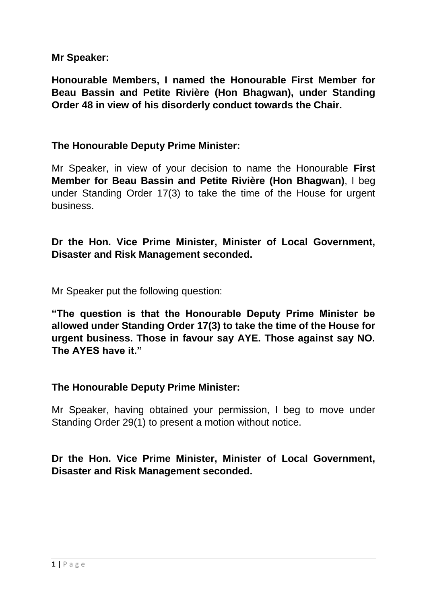**Mr Speaker:**

**Honourable Members, I named the Honourable First Member for Beau Bassin and Petite Rivière (Hon Bhagwan), under Standing Order 48 in view of his disorderly conduct towards the Chair.**

### **The Honourable Deputy Prime Minister:**

Mr Speaker, in view of your decision to name the Honourable **First Member for Beau Bassin and Petite Rivière (Hon Bhagwan)**, I beg under Standing Order 17(3) to take the time of the House for urgent business.

## **Dr the Hon. Vice Prime Minister, Minister of Local Government, Disaster and Risk Management seconded.**

Mr Speaker put the following question:

**"The question is that the Honourable Deputy Prime Minister be allowed under Standing Order 17(3) to take the time of the House for urgent business. Those in favour say AYE. Those against say NO. The AYES have it."**

#### **The Honourable Deputy Prime Minister:**

Mr Speaker, having obtained your permission, I beg to move under Standing Order 29(1) to present a motion without notice.

**Dr the Hon. Vice Prime Minister, Minister of Local Government, Disaster and Risk Management seconded.**